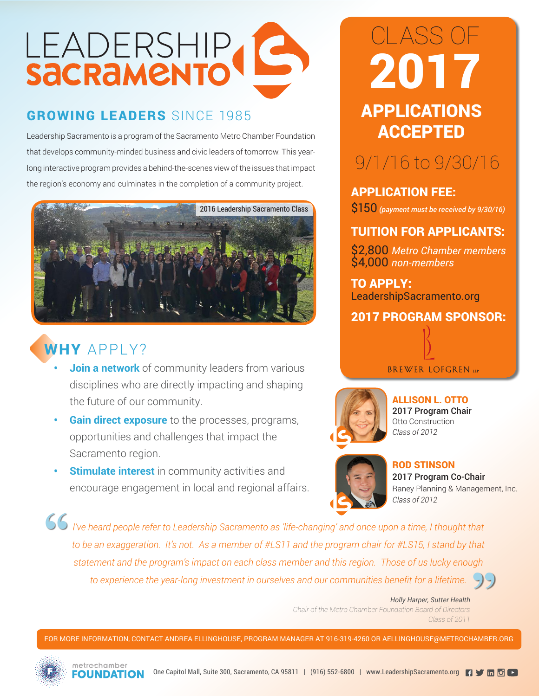# LEADERSHIP

## GROWING LEADERS SINCE 1985 **APPLICATIONS**

Leadership Sacramento is a program of the Sacramento Metro Chamber Foundation that develops community-minded business and civic leaders of tomorrow. This yearlong interactive program provides a behind-the-scenes view of the issues that impact the region's economy and culminates in the completion of a community project.



### WHY APPLY?

- **Join a network** of community leaders from various disciplines who are directly impacting and shaping the future of our community.
- **• Gain direct exposure** to the processes, programs, opportunities and challenges that impact the Sacramento region.
- **Stimulate interest** in community activities and encourage engagement in local and regional affairs.

# ACCEPTED CLASS OF 2017

# 9/1/16 to 9/30/16

APPLICATION FEE: \$150 *(payment must be received by 9/30/16)* 

#### TUITION FOR APPLICANTS:

\$2,800 *Metro Chamber members* \$4,000 *non-members*

TO APPLY: LeadershipSacramento.org



#### **BREWER LOFGREN LLP**



ALLISON L. OTTO 2017 Program Chair Otto Construction *Class of 2012*



ROD STINSON 2017 Program Co-Chair Raney Planning & Management, Inc. *Class of 2012*

*I've heard people refer to Leadership Sacramento as 'life-changing' and once upon a time, I thought that to be an exaggeration. It's not. As a member of #LS11 and the program chair for #LS15, I stand by that statement and the program's impact on each class member and this region. Those of us lucky enough*  **"** *to experience the year-long investment in ourselves and our communities benefit for a lifetime.*  **"**

> *Holly Harper, Sutter Health Chair of the Metro Chamber Foundation Board of Directors Class of 2011*

FOR MORE INFORMATION, CONTACT ANDREA ELLINGHOUSE, PROGRAM MANAGER AT 916-319-4260 OR AELLINGHOUSE@METROCHAMBER.ORG



metrechamber